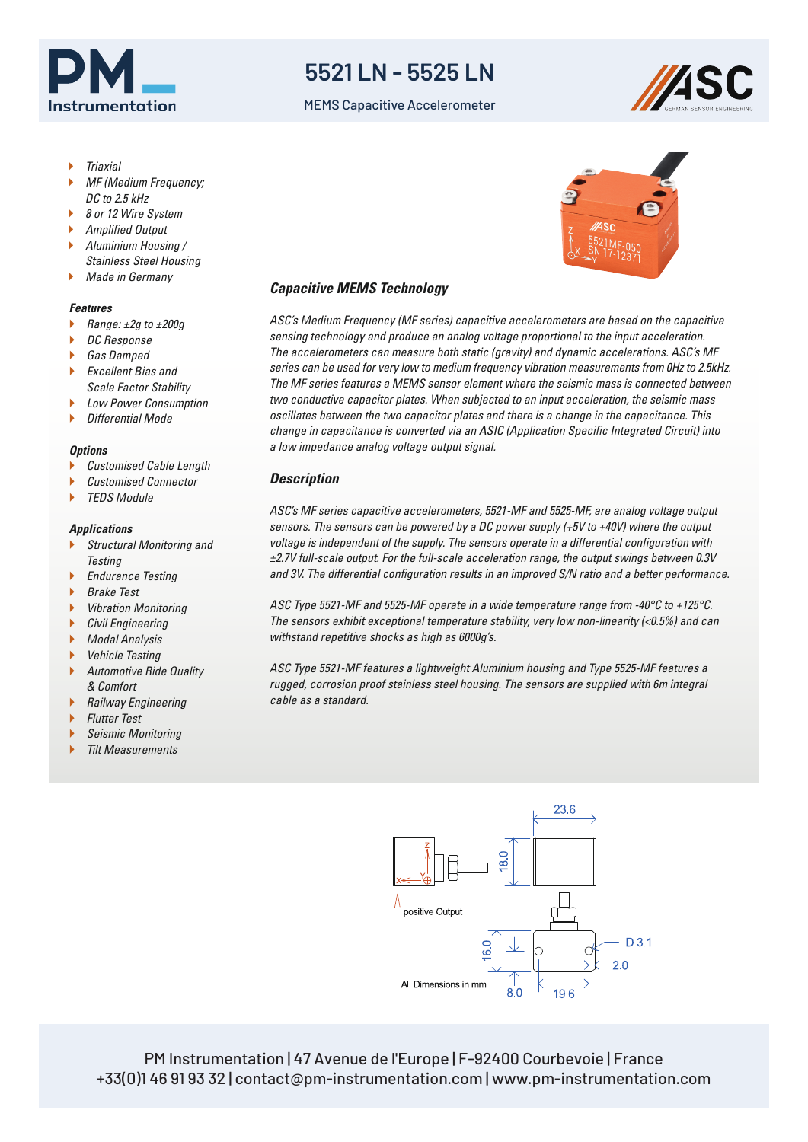

## **5521 LN - 5525 LN**

MEMS Capacitive Accelerometer



- Triaxial
- MF (Medium Frequency; DC to 2.5 kHz
- 8 or 12 Wire System
- Amplified Output
- Aluminium Housing / Stainless Steel Housing
- Made in Germany

#### *Features*

- Range: ±2g to ±200g
- DC Response
- Gas Damped
- Excellent Bias and Scale Factor Stability
- Low Power Consumption
- Differential Mode

### *Options*

- Customised Cable Length
- Customised Connector
- TEDS Module

### *Applications*

- Structural Monitoring and **Testing**
- Endurance Testing
- Brake Test
- Vibration Monitoring
- Civil Engineering
- Modal Analysis
- Vehicle Testing
- Automotive Ride Quality & Comfort
- Railway Engineering
- Flutter Test
- Seismic Monitoring
- Tilt Measurements

# *Capacitive MEMS Technology*

ASC's Medium Frequency (MF series) capacitive accelerometers are based on the capacitive sensing technology and produce an analog voltage proportional to the input acceleration. The accelerometers can measure both static (gravity) and dynamic accelerations. ASC's MF series can be used for very low to medium frequency vibration measurements from 0Hz to 2.5kHz. The MF series features a MEMS sensor element where the seismic mass is connected between two conductive capacitor plates. When subjected to an input acceleration, the seismic mass oscillates between the two capacitor plates and there is a change in the capacitance. This change in capacitance is converted via an ASIC (Application Specific Integrated Circuit) into a low impedance analog voltage output signal.

### *Description*

ASC's MF series capacitive accelerometers, 5521-MF and 5525-MF, are analog voltage output sensors. The sensors can be powered by a DC power supply (+5V to +40V) where the output voltage is independent of the supply. The sensors operate in a differential configuration with ±2.7V full-scale output. For the full-scale acceleration range, the output swings between 0.3V and 3V. The differential configuration results in an improved S/N ratio and a better performance.

ASC Type 5521-MF and 5525-MF operate in a wide temperature range from -40°C to +125°C. The sensors exhibit exceptional temperature stability, very low non-linearity (<0.5%) and can withstand repetitive shocks as high as 6000g's.

ASC Type 5521-MF features a lightweight Aluminium housing and Type 5525-MF features a rugged, corrosion proof stainless steel housing. The sensors are supplied with 6m integral cable as a standard.



PM Instrumentation | 47 Avenue de l'Europe | F-92400 Courbevoie | France +33(0)1 46 91 93 32 | contact@pm-instrumentation.com | www.pm-instrumentation.com

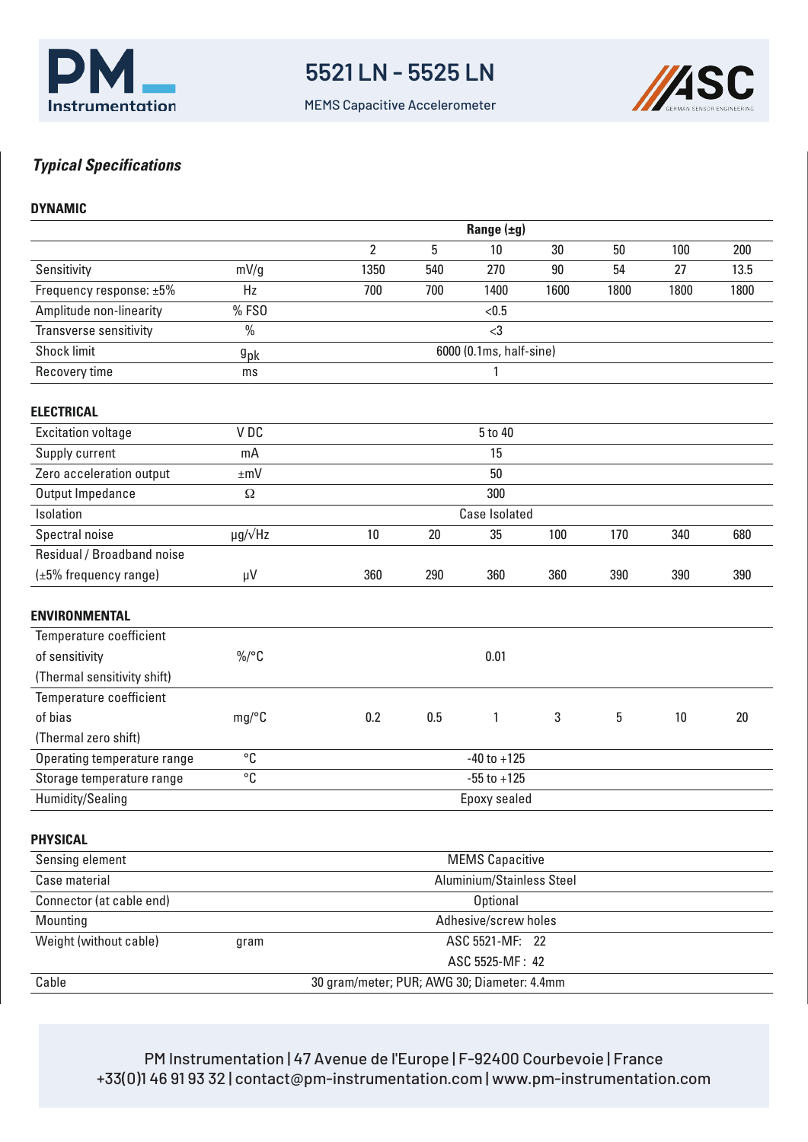

MEMS Capacitive Accelerometer



### *Typical Specifications*

### **DYNAMIC**

|                             | Range $(\pm g)$           |                                             |     |                 |      |      |      |      |
|-----------------------------|---------------------------|---------------------------------------------|-----|-----------------|------|------|------|------|
|                             |                           | $\overline{2}$                              | 5   | 10              | 30   | 50   | 100  | 200  |
| Sensitivity                 | mV/g                      | 1350                                        | 540 | 270             | 90   | 54   | 27   | 13.5 |
| Frequency response: ±5%     | Hz                        | 700                                         | 700 | 1400            | 1600 | 1800 | 1800 | 1800 |
| Amplitude non-linearity     | %FS0                      |                                             |     | < 0.5           |      |      |      |      |
| Transverse sensitivity      | $\%$                      |                                             |     | $<$ 3           |      |      |      |      |
| <b>Shock limit</b>          | $g_{\rm pk}$              | 6000 (0.1ms, half-sine)                     |     |                 |      |      |      |      |
| Recovery time               | ms                        | 1                                           |     |                 |      |      |      |      |
| <b>ELECTRICAL</b>           |                           |                                             |     |                 |      |      |      |      |
| <b>Excitation voltage</b>   | VDC                       |                                             |     | 5 to 40         |      |      |      |      |
| Supply current              | mA                        |                                             |     | 15              |      |      |      |      |
| Zero acceleration output    | $\pm mV$                  |                                             |     | 50              |      |      |      |      |
| Output Impedance            | Ω                         |                                             |     | 300             |      |      |      |      |
| Isolation                   |                           | <b>Case Isolated</b>                        |     |                 |      |      |      |      |
| Spectral noise              | $\mu$ g/ $\sqrt{Hz}$      | 10                                          | 20  | 35              | 100  | 170  | 340  | 680  |
| Residual / Broadband noise  |                           |                                             |     |                 |      |      |      |      |
| $(\pm 5\%$ frequency range) | μV                        | 360                                         | 290 | 360             | 360  | 390  | 390  | 390  |
| <b>ENVIRONMENTAL</b>        |                           |                                             |     |                 |      |      |      |      |
| Temperature coefficient     |                           |                                             |     |                 |      |      |      |      |
| of sensitivity              | $\%$ /°C                  |                                             |     | 0.01            |      |      |      |      |
| (Thermal sensitivity shift) |                           |                                             |     |                 |      |      |      |      |
| Temperature coefficient     |                           |                                             |     |                 |      |      |      |      |
| of bias                     | mg/°C                     | 0.2                                         | 0.5 | $\mathbf{1}$    | 3    | 5    | 10   | 20   |
| (Thermal zero shift)        |                           |                                             |     |                 |      |      |      |      |
| Operating temperature range | °C                        | $-40$ to $+125$                             |     |                 |      |      |      |      |
| Storage temperature range   | $^{\circ}{\rm C}$         | $-55$ to $+125$                             |     |                 |      |      |      |      |
| Humidity/Sealing            | Epoxy sealed              |                                             |     |                 |      |      |      |      |
| <b>PHYSICAL</b>             |                           |                                             |     |                 |      |      |      |      |
| Sensing element             | <b>MEMS Capacitive</b>    |                                             |     |                 |      |      |      |      |
| Case material               | Aluminium/Stainless Steel |                                             |     |                 |      |      |      |      |
| Connector (at cable end)    | <b>Optional</b>           |                                             |     |                 |      |      |      |      |
| Mounting                    |                           | Adhesive/screw holes                        |     |                 |      |      |      |      |
| Weight (without cable)      | gram                      | ASC 5521-MF: 22                             |     |                 |      |      |      |      |
|                             |                           |                                             |     | ASC 5525-MF: 42 |      |      |      |      |
| Cable                       |                           | 30 gram/meter; PUR; AWG 30; Diameter: 4.4mm |     |                 |      |      |      |      |
|                             |                           |                                             |     |                 |      |      |      |      |

PM Instrumentation | 47 Avenue de l'Europe | F-92400 Courbevoie | France +33(0)1 46 91 93 32 | contact@pm-instrumentation.com | www.pm-instrumentation.com